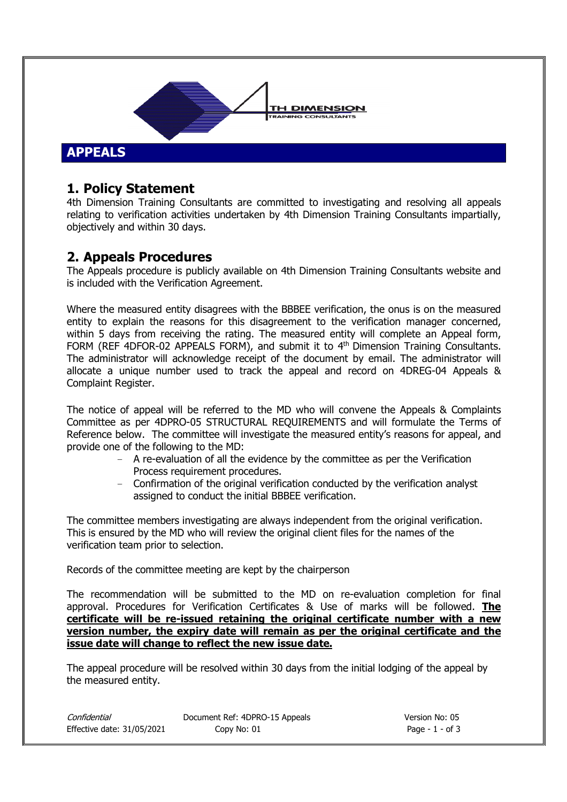

## **1. Policy Statement**

4th Dimension Training Consultants are committed to investigating and resolving all appeals relating to verification activities undertaken by 4th Dimension Training Consultants impartially, objectively and within 30 days.

## **2. Appeals Procedures**

The Appeals procedure is publicly available on 4th Dimension Training Consultants website and is included with the Verification Agreement.

Where the measured entity disagrees with the BBBEE verification, the onus is on the measured entity to explain the reasons for this disagreement to the verification manager concerned, within 5 days from receiving the rating. The measured entity will complete an Appeal form, FORM (REF 4DFOR-02 APPEALS FORM), and submit it to 4<sup>th</sup> Dimension Training Consultants. The administrator will acknowledge receipt of the document by email. The administrator will allocate a unique number used to track the appeal and record on 4DREG-04 Appeals & Complaint Register.

The notice of appeal will be referred to the MD who will convene the Appeals & Complaints Committee as per 4DPRO-05 STRUCTURAL REQUIREMENTS and will formulate the Terms of Reference below. The committee will investigate the measured entity's reasons for appeal, and provide one of the following to the MD:

- A re-evaluation of all the evidence by the committee as per the Verification Process requirement procedures.
- Confirmation of the original verification conducted by the verification analyst assigned to conduct the initial BBBEE verification.

The committee members investigating are always independent from the original verification. This is ensured by the MD who will review the original client files for the names of the verification team prior to selection.

Records of the committee meeting are kept by the chairperson

The recommendation will be submitted to the MD on re-evaluation completion for final approval. Procedures for Verification Certificates & Use of marks will be followed. **The certificate will be re-issued retaining the original certificate number with a new version number, the expiry date will remain as per the original certificate and the issue date will change to reflect the new issue date.** 

The appeal procedure will be resolved within 30 days from the initial lodging of the appeal by the measured entity.

| Confidential               | Document Ref: 4DPRO-15 Appe |
|----------------------------|-----------------------------|
| Effective date: 31/05/2021 | Copy No: 01                 |

Confidential Document Ref: 4DPRO-15 Appeals Version No: 05 Page -  $1$  - of 3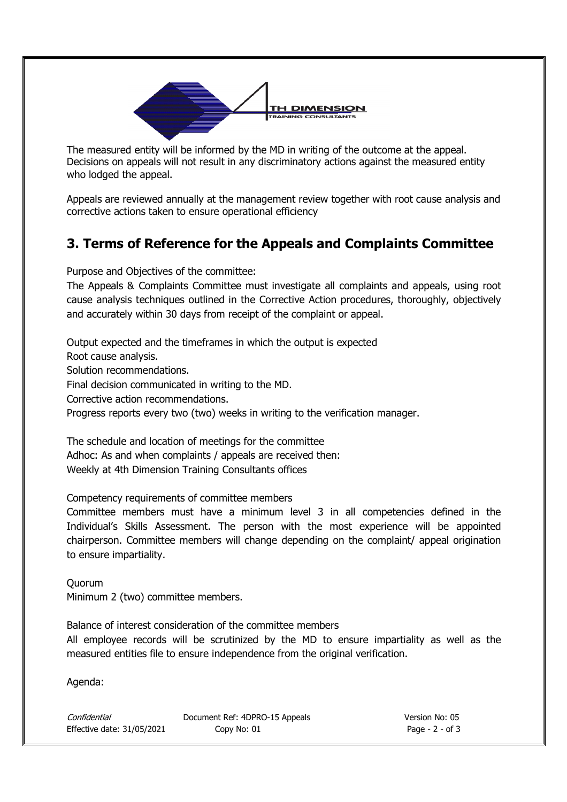

The measured entity will be informed by the MD in writing of the outcome at the appeal. Decisions on appeals will not result in any discriminatory actions against the measured entity who lodged the appeal.

Appeals are reviewed annually at the management review together with root cause analysis and corrective actions taken to ensure operational efficiency

## **3. Terms of Reference for the Appeals and Complaints Committee**

Purpose and Objectives of the committee:

The Appeals & Complaints Committee must investigate all complaints and appeals, using root cause analysis techniques outlined in the Corrective Action procedures, thoroughly, objectively and accurately within 30 days from receipt of the complaint or appeal.

Output expected and the timeframes in which the output is expected Root cause analysis. Solution recommendations. Final decision communicated in writing to the MD. Corrective action recommendations. Progress reports every two (two) weeks in writing to the verification manager. The schedule and location of meetings for the committee Adhoc: As and when complaints / appeals are received then:

Weekly at 4th Dimension Training Consultants offices

Competency requirements of committee members

Committee members must have a minimum level 3 in all competencies defined in the Individual's Skills Assessment. The person with the most experience will be appointed chairperson. Committee members will change depending on the complaint/ appeal origination to ensure impartiality.

Quorum Minimum 2 (two) committee members.

Balance of interest consideration of the committee members

All employee records will be scrutinized by the MD to ensure impartiality as well as the measured entities file to ensure independence from the original verification.

Agenda:

Confidential Document Ref: 4DPRO-15 Appeals Version No: 05 Effective date: 31/05/2021 Copy No: 01 Page - 2 - of 3